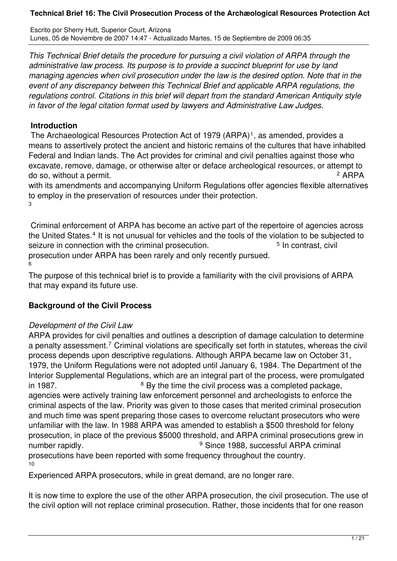Escrito por Sherry Hutt, Superior Court, Arizona Lunes, 05 de Noviembre de 2007 14:47 - Actualizado Martes, 15 de Septiembre de 2009 06:35

*This Technical Brief details the procedure for pursuing a civil violation of ARPA through the administrative law process. Its purpose is to provide a succinct blueprint for use by land managing agencies when civil prosecution under the law is the desired option. Note that in the event of any discrepancy between this Technical Brief and applicable ARPA regulations, the regulations control. Citations in this brief will depart from the standard American Antiquity style in favor of the legal citation format used by lawyers and Administrative Law Judges.*

## **Introduction**

The Archaeological Resources Protection Act of 1979 (ARPA)<sup>1</sup>, as amended, provides a means to assertively protect the ancient and historic remains of the cultures that have inhabited Federal and Indian lands. The Act provides for criminal and civil penalties against those who excavate, remove, damage, or otherwise alter or deface archeological resources, or attempt to do so, without a permit. <sup>2</sup> <sup>2</sup> ARPA

with its amendments and accompanying Uniform Regulations offer agencies flexible alternatives to employ in the preservation of resources under their protection. 3

 Criminal enforcement of ARPA has become an active part of the repertoire of agencies across the United States.<sup>4</sup> It is not unusual for vehicles and the tools of the violation to be subjected to seizure in connection with the criminal prosecution. <sup>5</sup> In contrast, civil prosecution under ARPA has been rarely and only recently pursued.

6

The purpose of this technical brief is to provide a familiarity with the civil provisions of ARPA that may expand its future use.

# **Background of the Civil Process**

# *Development of the Civil Law*

ARPA provides for civil penalties and outlines a description of damage calculation to determine a penalty assessment.<sup>7</sup> Criminal violations are specifically set forth in statutes, whereas the civil process depends upon descriptive regulations. Although ARPA became law on October 31, 1979, the Uniform Regulations were not adopted until January 6, 1984. The Department of the Interior Supplemental Regulations, which are an integral part of the process, were promulgated in 1987. <sup>8</sup> By the time the civil process was a completed package, agencies were actively training law enforcement personnel and archeologists to enforce the criminal aspects of the law. Priority was given to those cases that merited criminal prosecution and much time was spent preparing those cases to overcome reluctant prosecutors who were unfamiliar with the law. In 1988 ARPA was amended to establish a \$500 threshold for felony prosecution, in place of the previous \$5000 threshold, and ARPA criminal prosecutions grew in number rapidly. <sup>9</sup> <sup>9</sup> Since 1988, successful ARPA criminal

prosecutions have been reported with some frequency throughout the country. 10

Experienced ARPA prosecutors, while in great demand, are no longer rare.

It is now time to explore the use of the other ARPA prosecution, the civil prosecution. The use of the civil option will not replace criminal prosecution. Rather, those incidents that for one reason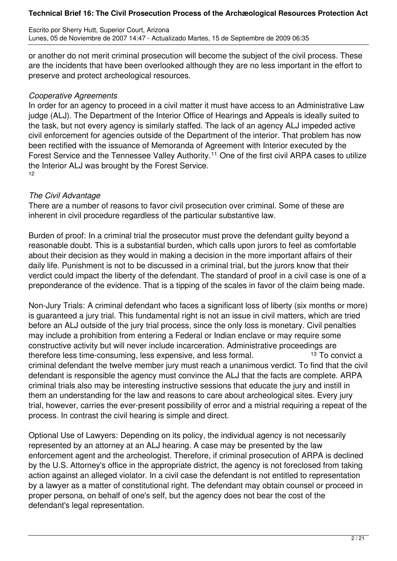Escrito por Sherry Hutt, Superior Court, Arizona Lunes, 05 de Noviembre de 2007 14:47 - Actualizado Martes, 15 de Septiembre de 2009 06:35

or another do not merit criminal prosecution will become the subject of the civil process. These are the incidents that have been overlooked although they are no less important in the effort to preserve and protect archeological resources.

## *Cooperative Agreements*

In order for an agency to proceed in a civil matter it must have access to an Administrative Law judge (ALJ). The Department of the Interior Office of Hearings and Appeals is ideally suited to the task, but not every agency is similarly staffed. The lack of an agency ALJ impeded active civil enforcement for agencies outside of the Department of the interior. That problem has now been rectified with the issuance of Memoranda of Agreement with Interior executed by the Forest Service and the Tennessee Valley Authority.<sup>11</sup> One of the first civil ARPA cases to utilize the Interior ALJ was brought by the Forest Service. 12

## *The Civil Advantage*

There are a number of reasons to favor civil prosecution over criminal. Some of these are inherent in civil procedure regardless of the particular substantive law.

Burden of proof: In a criminal trial the prosecutor must prove the defendant guilty beyond a reasonable doubt. This is a substantial burden, which calls upon jurors to feel as comfortable about their decision as they would in making a decision in the more important affairs of their daily life. Punishment is not to be discussed in a criminal trial, but the jurors know that their verdict could impact the liberty of the defendant. The standard of proof in a civil case is one of a preponderance of the evidence. That is a tipping of the scales in favor of the claim being made.

Non-Jury Trials: A criminal defendant who faces a significant loss of liberty (six months or more) is guaranteed a jury trial. This fundamental right is not an issue in civil matters, which are tried before an ALJ outside of the jury trial process, since the only loss is monetary. Civil penalties may include a prohibition from entering a Federal or Indian enclave or may require some constructive activity but will never include incarceration. Administrative proceedings are therefore less time-consuming, less expensive, and less formal. 13 To convict a criminal defendant the twelve member jury must reach a unanimous verdict. To find that the civil defendant is responsible the agency must convince the ALJ that the facts are complete. ARPA criminal trials also may be interesting instructive sessions that educate the jury and instill in them an understanding for the law and reasons to care about archeological sites. Every jury trial, however, carries the ever-present possibility of error and a mistrial requiring a repeat of the process. In contrast the civil hearing is simple and direct.

Optional Use of Lawyers: Depending on its policy, the individual agency is not necessarily represented by an attorney at an ALJ hearing. A case may be presented by the law enforcement agent and the archeologist. Therefore, if criminal prosecution of ARPA is declined by the U.S. Attorney's office in the appropriate district, the agency is not foreclosed from taking action against an alleged violator. In a civil case the defendant is not entitled to representation by a lawyer as a matter of constitutional right. The defendant may obtain counsel or proceed in proper persona, on behalf of one's self, but the agency does not bear the cost of the defendant's legal representation.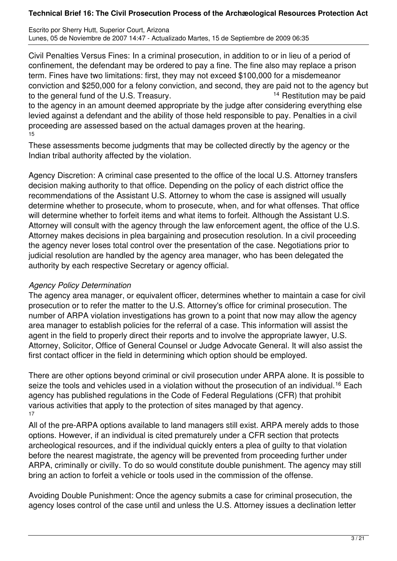Escrito por Sherry Hutt, Superior Court, Arizona Lunes, 05 de Noviembre de 2007 14:47 - Actualizado Martes, 15 de Septiembre de 2009 06:35

Civil Penalties Versus Fines: In a criminal prosecution, in addition to or in lieu of a period of confinement, the defendant may be ordered to pay a fine. The fine also may replace a prison term. Fines have two limitations: first, they may not exceed \$100,000 for a misdemeanor conviction and \$250,000 for a felony conviction, and second, they are paid not to the agency but to the general fund of the U.S. Treasury. 14 Restitution may be paid

to the agency in an amount deemed appropriate by the judge after considering everything else levied against a defendant and the ability of those held responsible to pay. Penalties in a civil proceeding are assessed based on the actual damages proven at the hearing. 15

These assessments become judgments that may be collected directly by the agency or the Indian tribal authority affected by the violation.

Agency Discretion: A criminal case presented to the office of the local U.S. Attorney transfers decision making authority to that office. Depending on the policy of each district office the recommendations of the Assistant U.S. Attorney to whom the case is assigned will usually determine whether to prosecute, whom to prosecute, when, and for what offenses. That office will determine whether to forfeit items and what items to forfeit. Although the Assistant U.S. Attorney will consult with the agency through the law enforcement agent, the office of the U.S. Attorney makes decisions in plea bargaining and prosecution resolution. In a civil proceeding the agency never loses total control over the presentation of the case. Negotiations prior to judicial resolution are handled by the agency area manager, who has been delegated the authority by each respective Secretary or agency official.

## *Agency Policy Determination*

The agency area manager, or equivalent officer, determines whether to maintain a case for civil prosecution or to refer the matter to the U.S. Attorney's office for criminal prosecution. The number of ARPA violation investigations has grown to a point that now may allow the agency area manager to establish policies for the referral of a case. This information will assist the agent in the field to properly direct their reports and to involve the appropriate lawyer, U.S. Attorney, Solicitor, Office of General Counsel or Judge Advocate General. It will also assist the first contact officer in the field in determining which option should be employed.

There are other options beyond criminal or civil prosecution under ARPA alone. It is possible to seize the tools and vehicles used in a violation without the prosecution of an individual.<sup>16</sup> Each agency has published regulations in the Code of Federal Regulations (CFR) that prohibit various activities that apply to the protection of sites managed by that agency. 17

All of the pre-ARPA options available to land managers still exist. ARPA merely adds to those options. However, if an individual is cited prematurely under a CFR section that protects archeological resources, and if the individual quickly enters a plea of guilty to that violation before the nearest magistrate, the agency will be prevented from proceeding further under ARPA, criminally or civilly. To do so would constitute double punishment. The agency may still bring an action to forfeit a vehicle or tools used in the commission of the offense.

Avoiding Double Punishment: Once the agency submits a case for criminal prosecution, the agency loses control of the case until and unless the U.S. Attorney issues a declination letter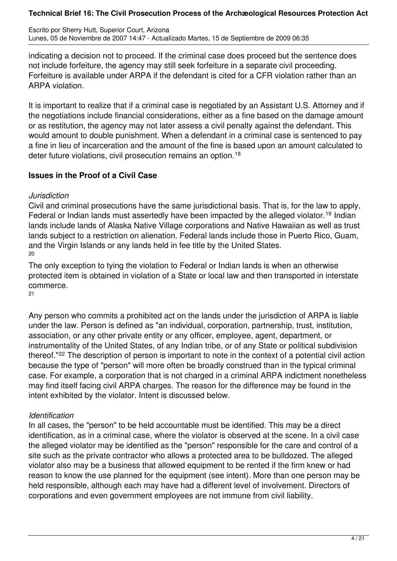Escrito por Sherry Hutt, Superior Court, Arizona Lunes, 05 de Noviembre de 2007 14:47 - Actualizado Martes, 15 de Septiembre de 2009 06:35

indicating a decision not to proceed. If the criminal case does proceed but the sentence does not include forfeiture, the agency may still seek forfeiture in a separate civil proceeding. Forfeiture is available under ARPA if the defendant is cited for a CFR violation rather than an ARPA violation.

It is important to realize that if a criminal case is negotiated by an Assistant U.S. Attorney and if the negotiations include financial considerations, either as a fine based on the damage amount or as restitution, the agency may not later assess a civil penalty against the defendant. This would amount to double punishment. When a defendant in a criminal case is sentenced to pay a fine in lieu of incarceration and the amount of the fine is based upon an amount calculated to deter future violations, civil prosecution remains an option.<sup>18</sup>

## **Issues in the Proof of a Civil Case**

### *Jurisdiction*

Civil and criminal prosecutions have the same jurisdictional basis. That is, for the law to apply, Federal or Indian lands must assertedly have been impacted by the alleged violator.<sup>19</sup> Indian lands include lands of Alaska Native Village corporations and Native Hawaiian as well as trust lands subject to a restriction on alienation. Federal lands include those in Puerto Rico, Guam, and the Virgin Islands or any lands held in fee title by the United States. 20

The only exception to tying the violation to Federal or Indian lands is when an otherwise protected item is obtained in violation of a State or local law and then transported in interstate commerce. 21

Any person who commits a prohibited act on the lands under the jurisdiction of ARPA is liable under the law. Person is defined as "an individual, corporation, partnership, trust, institution, association, or any other private entity or any officer, employee, agent, department, or instrumentality of the United States, of any Indian tribe, or of any State or political subdivision thereof."<sup>22</sup> The description of person is important to note in the context of a potential civil action because the type of "person" will more often be broadly construed than in the typical criminal case. For example, a corporation that is not charged in a criminal ARPA indictment nonetheless may find itself facing civil ARPA charges. The reason for the difference may be found in the intent exhibited by the violator. Intent is discussed below.

# *Identification*

In all cases, the "person" to be held accountable must be identified. This may be a direct identification, as in a criminal case, where the violator is observed at the scene. In a civil case the alleged violator may be identified as the "person" responsible for the care and control of a site such as the private contractor who allows a protected area to be bulldozed. The alleged violator also may be a business that allowed equipment to be rented if the firm knew or had reason to know the use planned for the equipment (see intent). More than one person may be held responsible, although each may have had a different level of involvement. Directors of corporations and even government employees are not immune from civil liability.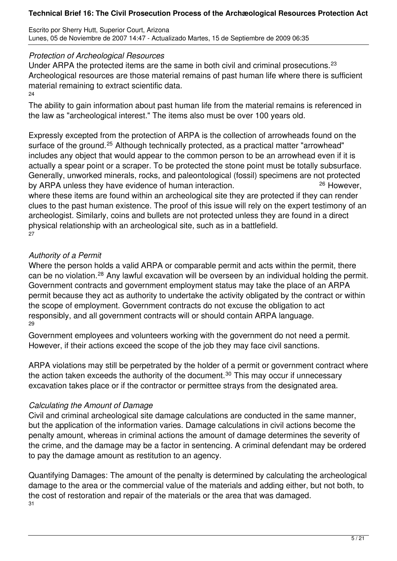Escrito por Sherry Hutt, Superior Court, Arizona Lunes, 05 de Noviembre de 2007 14:47 - Actualizado Martes, 15 de Septiembre de 2009 06:35

### *Protection of Archeological Resources*

Under ARPA the protected items are the same in both civil and criminal prosecutions.<sup>23</sup> Archeological resources are those material remains of past human life where there is sufficient material remaining to extract scientific data. 24

The ability to gain information about past human life from the material remains is referenced in the law as "archeological interest." The items also must be over 100 years old.

Expressly excepted from the protection of ARPA is the collection of arrowheads found on the surface of the ground.<sup>25</sup> Although technically protected, as a practical matter "arrowhead" includes any object that would appear to the common person to be an arrowhead even if it is actually a spear point or a scraper. To be protected the stone point must be totally subsurface. Generally, unworked minerals, rocks, and paleontological (fossil) specimens are not protected by ARPA unless they have evidence of human interaction. 26 However, where these items are found within an archeological site they are protected if they can render clues to the past human existence. The proof of this issue will rely on the expert testimony of an

archeologist. Similarly, coins and bullets are not protected unless they are found in a direct physical relationship with an archeological site, such as in a battlefield. 27

## *Authority of a Permit*

Where the person holds a valid ARPA or comparable permit and acts within the permit, there can be no violation.<sup>28</sup> Any lawful excavation will be overseen by an individual holding the permit. Government contracts and government employment status may take the place of an ARPA permit because they act as authority to undertake the activity obligated by the contract or within the scope of employment. Government contracts do not excuse the obligation to act responsibly, and all government contracts will or should contain ARPA language. 29

Government employees and volunteers working with the government do not need a permit. However, if their actions exceed the scope of the job they may face civil sanctions.

ARPA violations may still be perpetrated by the holder of a permit or government contract where the action taken exceeds the authority of the document.<sup>30</sup> This may occur if unnecessary excavation takes place or if the contractor or permittee strays from the designated area.

### *Calculating the Amount of Damage*

Civil and criminal archeological site damage calculations are conducted in the same manner, but the application of the information varies. Damage calculations in civil actions become the penalty amount, whereas in criminal actions the amount of damage determines the severity of the crime, and the damage may be a factor in sentencing. A criminal defendant may be ordered to pay the damage amount as restitution to an agency.

Quantifying Damages: The amount of the penalty is determined by calculating the archeological damage to the area or the commercial value of the materials and adding either, but not both, to the cost of restoration and repair of the materials or the area that was damaged. 31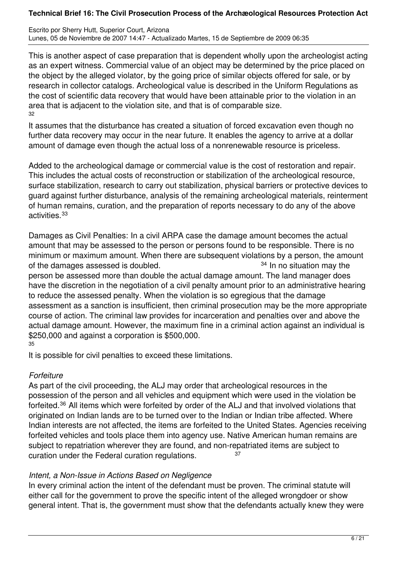Escrito por Sherry Hutt, Superior Court, Arizona Lunes, 05 de Noviembre de 2007 14:47 - Actualizado Martes, 15 de Septiembre de 2009 06:35

This is another aspect of case preparation that is dependent wholly upon the archeologist acting as an expert witness. Commercial value of an object may be determined by the price placed on the object by the alleged violator, by the going price of similar objects offered for sale, or by research in collector catalogs. Archeological value is described in the Uniform Regulations as the cost of scientific data recovery that would have been attainable prior to the violation in an area that is adjacent to the violation site, and that is of comparable size. 32

It assumes that the disturbance has created a situation of forced excavation even though no further data recovery may occur in the near future. It enables the agency to arrive at a dollar amount of damage even though the actual loss of a nonrenewable resource is priceless.

Added to the archeological damage or commercial value is the cost of restoration and repair. This includes the actual costs of reconstruction or stabilization of the archeological resource, surface stabilization, research to carry out stabilization, physical barriers or protective devices to guard against further disturbance, analysis of the remaining archeological materials, reinterment of human remains, curation, and the preparation of reports necessary to do any of the above activities.<sup>33</sup>

Damages as Civil Penalties: In a civil ARPA case the damage amount becomes the actual amount that may be assessed to the person or persons found to be responsible. There is no minimum or maximum amount. When there are subsequent violations by a person, the amount of the damages assessed is doubled.  $34 \text{ ln}$  no situation may the person be assessed more than double the actual damage amount. The land manager does have the discretion in the negotiation of a civil penalty amount prior to an administrative hearing to reduce the assessed penalty. When the violation is so egregious that the damage assessment as a sanction is insufficient, then criminal prosecution may be the more appropriate course of action. The criminal law provides for incarceration and penalties over and above the actual damage amount. However, the maximum fine in a criminal action against an individual is \$250,000 and against a corporation is \$500,000. 35

It is possible for civil penalties to exceed these limitations.

### *Forfeiture*

As part of the civil proceeding, the ALJ may order that archeological resources in the possession of the person and all vehicles and equipment which were used in the violation be forfeited.<sup>36</sup> All items which were forfeited by order of the ALJ and that involved violations that originated on Indian lands are to be turned over to the Indian or Indian tribe affected. Where Indian interests are not affected, the items are forfeited to the United States. Agencies receiving forfeited vehicles and tools place them into agency use. Native American human remains are subject to repatriation wherever they are found, and non-repatriated items are subject to curation under the Federal curation regulations.  $37$ 

# *Intent, a Non-Issue in Actions Based on Negligence*

In every criminal action the intent of the defendant must be proven. The criminal statute will either call for the government to prove the specific intent of the alleged wrongdoer or show general intent. That is, the government must show that the defendants actually knew they were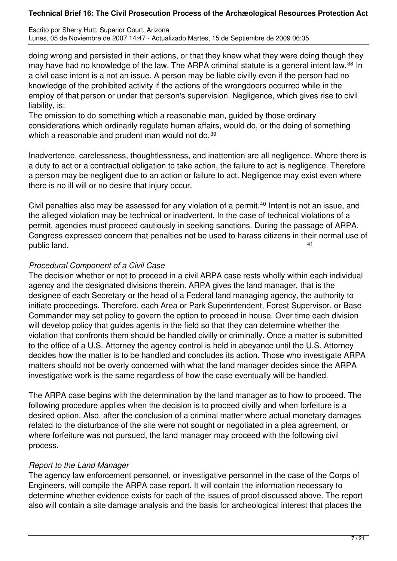Escrito por Sherry Hutt, Superior Court, Arizona Lunes, 05 de Noviembre de 2007 14:47 - Actualizado Martes, 15 de Septiembre de 2009 06:35

doing wrong and persisted in their actions, or that they knew what they were doing though they may have had no knowledge of the law. The ARPA criminal statute is a general intent law.<sup>38</sup> In a civil case intent is a not an issue. A person may be liable civilly even if the person had no knowledge of the prohibited activity if the actions of the wrongdoers occurred while in the employ of that person or under that person's supervision. Negligence, which gives rise to civil liability, is:

The omission to do something which a reasonable man, guided by those ordinary considerations which ordinarily regulate human affairs, would do, or the doing of something which a reasonable and prudent man would not do.<sup>39</sup>

Inadvertence, carelessness, thoughtlessness, and inattention are all negligence. Where there is a duty to act or a contractual obligation to take action, the failure to act is negligence. Therefore a person may be negligent due to an action or failure to act. Negligence may exist even where there is no ill will or no desire that injury occur.

Civil penalties also may be assessed for any violation of a permit.<sup>40</sup> Intent is not an issue, and the alleged violation may be technical or inadvertent. In the case of technical violations of a permit, agencies must proceed cautiously in seeking sanctions. During the passage of ARPA, Congress expressed concern that penalties not be used to harass citizens in their normal use of public land.

### *Procedural Component of a Civil Case*

The decision whether or not to proceed in a civil ARPA case rests wholly within each individual agency and the designated divisions therein. ARPA gives the land manager, that is the designee of each Secretary or the head of a Federal land managing agency, the authority to initiate proceedings. Therefore, each Area or Park Superintendent, Forest Supervisor, or Base Commander may set policy to govern the option to proceed in house. Over time each division will develop policy that guides agents in the field so that they can determine whether the violation that confronts them should be handled civilly or criminally. Once a matter is submitted to the office of a U.S. Attorney the agency control is held in abeyance until the U.S. Attorney decides how the matter is to be handled and concludes its action. Those who investigate ARPA matters should not be overly concerned with what the land manager decides since the ARPA investigative work is the same regardless of how the case eventually will be handled.

The ARPA case begins with the determination by the land manager as to how to proceed. The following procedure applies when the decision is to proceed civilly and when forfeiture is a desired option. Also, after the conclusion of a criminal matter where actual monetary damages related to the disturbance of the site were not sought or negotiated in a plea agreement, or where forfeiture was not pursued, the land manager may proceed with the following civil process.

# *Report to the Land Manager*

The agency law enforcement personnel, or investigative personnel in the case of the Corps of Engineers, will compile the ARPA case report. It will contain the information necessary to determine whether evidence exists for each of the issues of proof discussed above. The report also will contain a site damage analysis and the basis for archeological interest that places the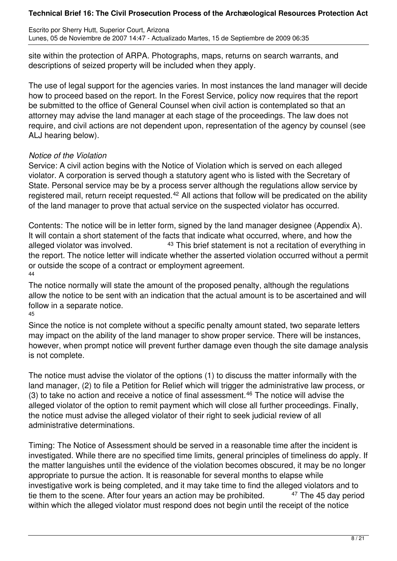Escrito por Sherry Hutt, Superior Court, Arizona Lunes, 05 de Noviembre de 2007 14:47 - Actualizado Martes, 15 de Septiembre de 2009 06:35

site within the protection of ARPA. Photographs, maps, returns on search warrants, and descriptions of seized property will be included when they apply.

The use of legal support for the agencies varies. In most instances the land manager will decide how to proceed based on the report. In the Forest Service, policy now requires that the report be submitted to the office of General Counsel when civil action is contemplated so that an attorney may advise the land manager at each stage of the proceedings. The law does not require, and civil actions are not dependent upon, representation of the agency by counsel (see ALJ hearing below).

### *Notice of the Violation*

Service: A civil action begins with the Notice of Violation which is served on each alleged violator. A corporation is served though a statutory agent who is listed with the Secretary of State. Personal service may be by a process server although the regulations allow service by registered mail, return receipt requested.<sup>42</sup> All actions that follow will be predicated on the ability of the land manager to prove that actual service on the suspected violator has occurred.

Contents: The notice will be in letter form, signed by the land manager designee (Appendix A). It will contain a short statement of the facts that indicate what occurred, where, and how the alleged violator was involved.  $43$  This brief statement is not a recitation of everything in the report. The notice letter will indicate whether the asserted violation occurred without a permit or outside the scope of a contract or employment agreement. 44

The notice normally will state the amount of the proposed penalty, although the regulations allow the notice to be sent with an indication that the actual amount is to be ascertained and will follow in a separate notice.

45

Since the notice is not complete without a specific penalty amount stated, two separate letters may impact on the ability of the land manager to show proper service. There will be instances, however, when prompt notice will prevent further damage even though the site damage analysis is not complete.

The notice must advise the violator of the options (1) to discuss the matter informally with the land manager, (2) to file a Petition for Relief which will trigger the administrative law process, or  $(3)$  to take no action and receive a notice of final assessment.<sup>46</sup> The notice will advise the alleged violator of the option to remit payment which will close all further proceedings. Finally, the notice must advise the alleged violator of their right to seek judicial review of all administrative determinations.

Timing: The Notice of Assessment should be served in a reasonable time after the incident is investigated. While there are no specified time limits, general principles of timeliness do apply. If the matter languishes until the evidence of the violation becomes obscured, it may be no longer appropriate to pursue the action. It is reasonable for several months to elapse while investigative work is being completed, and it may take time to find the alleged violators and to<br>tie them to the scene. After four vears an action may be prohibited. <sup>47</sup> The 45 day period tie them to the scene. After four years an action may be prohibited. within which the alleged violator must respond does not begin until the receipt of the notice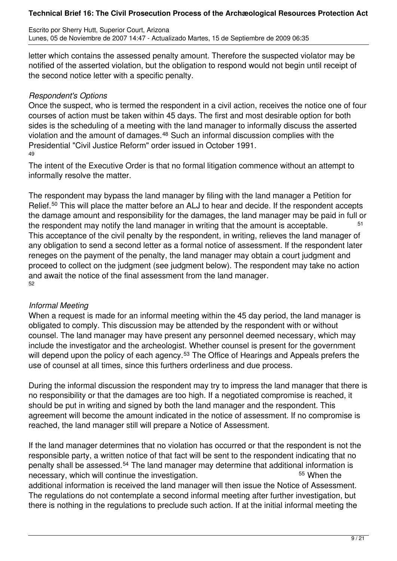Escrito por Sherry Hutt, Superior Court, Arizona Lunes, 05 de Noviembre de 2007 14:47 - Actualizado Martes, 15 de Septiembre de 2009 06:35

letter which contains the assessed penalty amount. Therefore the suspected violator may be notified of the asserted violation, but the obligation to respond would not begin until receipt of the second notice letter with a specific penalty.

## *Respondent's Options*

Once the suspect, who is termed the respondent in a civil action, receives the notice one of four courses of action must be taken within 45 days. The first and most desirable option for both sides is the scheduling of a meeting with the land manager to informally discuss the asserted violation and the amount of damages.<sup>48</sup> Such an informal discussion complies with the Presidential "Civil Justice Reform" order issued in October 1991. 49

The intent of the Executive Order is that no formal litigation commence without an attempt to informally resolve the matter.

The respondent may bypass the land manager by filing with the land manager a Petition for Relief.<sup>50</sup> This will place the matter before an ALJ to hear and decide. If the respondent accepts the damage amount and responsibility for the damages, the land manager may be paid in full or the respondent may notify the land manager in writing that the amount is acceptable.  $51$ This acceptance of the civil penalty by the respondent, in writing, relieves the land manager of any obligation to send a second letter as a formal notice of assessment. If the respondent later reneges on the payment of the penalty, the land manager may obtain a court judgment and proceed to collect on the judgment (see judgment below). The respondent may take no action and await the notice of the final assessment from the land manager. 52

# *Informal Meeting*

When a request is made for an informal meeting within the 45 day period, the land manager is obligated to comply. This discussion may be attended by the respondent with or without counsel. The land manager may have present any personnel deemed necessary, which may include the investigator and the archeologist. Whether counsel is present for the government will depend upon the policy of each agency.<sup>53</sup> The Office of Hearings and Appeals prefers the use of counsel at all times, since this furthers orderliness and due process.

During the informal discussion the respondent may try to impress the land manager that there is no responsibility or that the damages are too high. If a negotiated compromise is reached, it should be put in writing and signed by both the land manager and the respondent. This agreement will become the amount indicated in the notice of assessment. If no compromise is reached, the land manager still will prepare a Notice of Assessment.

If the land manager determines that no violation has occurred or that the respondent is not the responsible party, a written notice of that fact will be sent to the respondent indicating that no penalty shall be assessed.<sup>54</sup> The land manager may determine that additional information is necessary, which will continue the investigation. The same state of the state of the state of the number of the additional information is received the land manager will then issue the Notice of Assessment. The regulations do not contemplate a second informal meeting after further investigation, but there is nothing in the regulations to preclude such action. If at the initial informal meeting the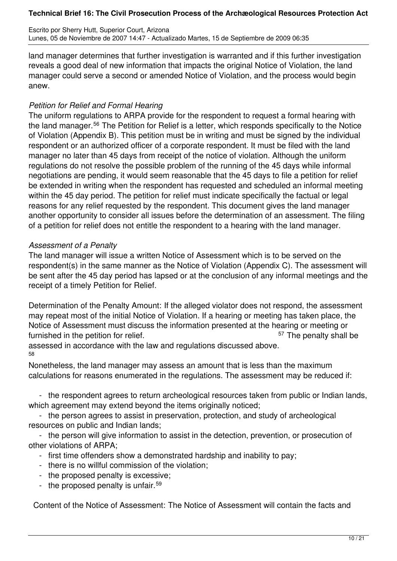Escrito por Sherry Hutt, Superior Court, Arizona Lunes, 05 de Noviembre de 2007 14:47 - Actualizado Martes, 15 de Septiembre de 2009 06:35

land manager determines that further investigation is warranted and if this further investigation reveals a good deal of new information that impacts the original Notice of Violation, the land manager could serve a second or amended Notice of Violation, and the process would begin anew.

### *Petition for Relief and Formal Hearing*

The uniform regulations to ARPA provide for the respondent to request a formal hearing with the land manager.<sup>56</sup> The Petition for Relief is a letter, which responds specifically to the Notice of Violation (Appendix B). This petition must be in writing and must be signed by the individual respondent or an authorized officer of a corporate respondent. It must be filed with the land manager no later than 45 days from receipt of the notice of violation. Although the uniform regulations do not resolve the possible problem of the running of the 45 days while informal negotiations are pending, it would seem reasonable that the 45 days to file a petition for relief be extended in writing when the respondent has requested and scheduled an informal meeting within the 45 day period. The petition for relief must indicate specifically the factual or legal reasons for any relief requested by the respondent. This document gives the land manager another opportunity to consider all issues before the determination of an assessment. The filing of a petition for relief does not entitle the respondent to a hearing with the land manager.

### *Assessment of a Penalty*

58

The land manager will issue a written Notice of Assessment which is to be served on the respondent(s) in the same manner as the Notice of Violation (Appendix C). The assessment will be sent after the 45 day period has lapsed or at the conclusion of any informal meetings and the receipt of a timely Petition for Relief.

Determination of the Penalty Amount: If the alleged violator does not respond, the assessment may repeat most of the initial Notice of Violation. If a hearing or meeting has taken place, the Notice of Assessment must discuss the information presented at the hearing or meeting or furnished in the petition for relief. The penalty shall be strategies of the penalty shall be furnished in the penalty shall be sensor. assessed in accordance with the law and regulations discussed above.

Nonetheless, the land manager may assess an amount that is less than the maximum calculations for reasons enumerated in the regulations. The assessment may be reduced if:

 - the respondent agrees to return archeological resources taken from public or Indian lands, which agreement may extend beyond the items originally noticed;

 - the person agrees to assist in preservation, protection, and study of archeological resources on public and Indian lands;

 - the person will give information to assist in the detection, prevention, or prosecution of other violations of ARPA;

- first time offenders show a demonstrated hardship and inability to pay;
- there is no willful commission of the violation;
- the proposed penalty is excessive;
- the proposed penalty is unfair.<sup>59</sup>

Content of the Notice of Assessment: The Notice of Assessment will contain the facts and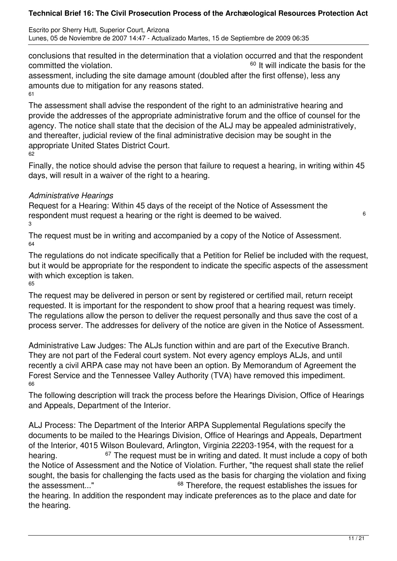Escrito por Sherry Hutt, Superior Court, Arizona Lunes, 05 de Noviembre de 2007 14:47 - Actualizado Martes, 15 de Septiembre de 2009 06:35

conclusions that resulted in the determination that a violation occurred and that the respondent committed the violation. Committed the violation. assessment, including the site damage amount (doubled after the first offense), less any amounts due to mitigation for any reasons stated.

61

The assessment shall advise the respondent of the right to an administrative hearing and provide the addresses of the appropriate administrative forum and the office of counsel for the agency. The notice shall state that the decision of the ALJ may be appealed administratively, and thereafter, judicial review of the final administrative decision may be sought in the appropriate United States District Court. 62

Finally, the notice should advise the person that failure to request a hearing, in writing within 45 days, will result in a waiver of the right to a hearing.

## *Administrative Hearings*

Request for a Hearing: Within 45 days of the receipt of the Notice of Assessment the respondent must request a hearing or the right is deemed to be waived. <sup>6</sup> 3

The request must be in writing and accompanied by a copy of the Notice of Assessment. 64

The regulations do not indicate specifically that a Petition for Relief be included with the request, but it would be appropriate for the respondent to indicate the specific aspects of the assessment with which exception is taken. 65

The request may be delivered in person or sent by registered or certified mail, return receipt requested. It is important for the respondent to show proof that a hearing request was timely. The regulations allow the person to deliver the request personally and thus save the cost of a process server. The addresses for delivery of the notice are given in the Notice of Assessment.

Administrative Law Judges: The ALJs function within and are part of the Executive Branch. They are not part of the Federal court system. Not every agency employs ALJs, and until recently a civil ARPA case may not have been an option. By Memorandum of Agreement the Forest Service and the Tennessee Valley Authority (TVA) have removed this impediment. 66

The following description will track the process before the Hearings Division, Office of Hearings and Appeals, Department of the Interior.

ALJ Process: The Department of the Interior ARPA Supplemental Regulations specify the documents to be mailed to the Hearings Division, Office of Hearings and Appeals, Department of the Interior, 4015 Wilson Boulevard, Arlington, Virginia 22203-1954, with the request for a hearing. <sup>67</sup> The request must be in writing and dated. It must include a copy of both the Notice of Assessment and the Notice of Violation. Further, "the request shall state the relief sought, the basis for challenging the facts used as the basis for charging the violation and fixing the assessment..." <sup>68</sup> Therefore, the request establishes the issues for the hearing. In addition the respondent may indicate preferences as to the place and date for the hearing.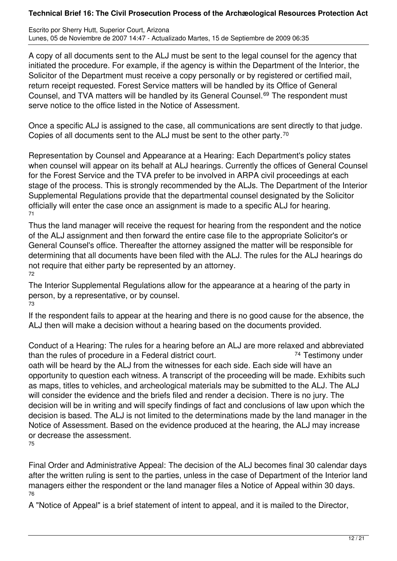Escrito por Sherry Hutt, Superior Court, Arizona Lunes, 05 de Noviembre de 2007 14:47 - Actualizado Martes, 15 de Septiembre de 2009 06:35

A copy of all documents sent to the ALJ must be sent to the legal counsel for the agency that initiated the procedure. For example, if the agency is within the Department of the Interior, the Solicitor of the Department must receive a copy personally or by registered or certified mail, return receipt requested. Forest Service matters will be handled by its Office of General Counsel, and TVA matters will be handled by its General Counsel.<sup>69</sup> The respondent must serve notice to the office listed in the Notice of Assessment.

Once a specific ALJ is assigned to the case, all communications are sent directly to that judge. Copies of all documents sent to the ALJ must be sent to the other party.<sup>70</sup>

Representation by Counsel and Appearance at a Hearing: Each Department's policy states when counsel will appear on its behalf at ALJ hearings. Currently the offices of General Counsel for the Forest Service and the TVA prefer to be involved in ARPA civil proceedings at each stage of the process. This is strongly recommended by the ALJs. The Department of the Interior Supplemental Regulations provide that the departmental counsel designated by the Solicitor officially will enter the case once an assignment is made to a specific ALJ for hearing. 71

Thus the land manager will receive the request for hearing from the respondent and the notice of the ALJ assignment and then forward the entire case file to the appropriate Solicitor's or General Counsel's office. Thereafter the attorney assigned the matter will be responsible for determining that all documents have been filed with the ALJ. The rules for the ALJ hearings do not require that either party be represented by an attorney. 72

The Interior Supplemental Regulations allow for the appearance at a hearing of the party in person, by a representative, or by counsel. 73

If the respondent fails to appear at the hearing and there is no good cause for the absence, the ALJ then will make a decision without a hearing based on the documents provided.

Conduct of a Hearing: The rules for a hearing before an ALJ are more relaxed and abbreviated than the rules of procedure in a Federal district court. The Testimony under oath will be heard by the ALJ from the witnesses for each side. Each side will have an opportunity to question each witness. A transcript of the proceeding will be made. Exhibits such as maps, titles to vehicles, and archeological materials may be submitted to the ALJ. The ALJ will consider the evidence and the briefs filed and render a decision. There is no jury. The decision will be in writing and will specify findings of fact and conclusions of law upon which the decision is based. The ALJ is not limited to the determinations made by the land manager in the Notice of Assessment. Based on the evidence produced at the hearing, the ALJ may increase or decrease the assessment. 75

Final Order and Administrative Appeal: The decision of the ALJ becomes final 30 calendar days after the written ruling is sent to the parties, unless in the case of Department of the Interior land managers either the respondent or the land manager files a Notice of Appeal within 30 days. 76

A "Notice of Appeal" is a brief statement of intent to appeal, and it is mailed to the Director,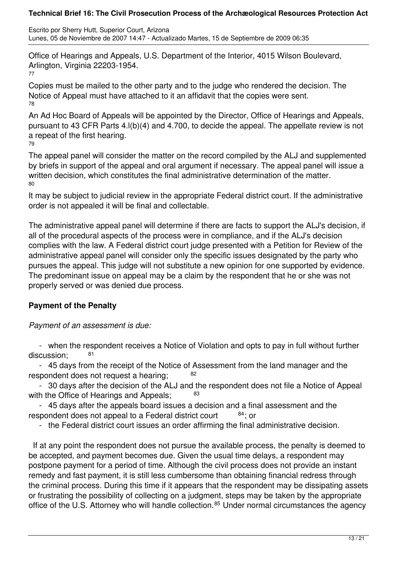Escrito por Sherry Hutt, Superior Court, Arizona Lunes, 05 de Noviembre de 2007 14:47 - Actualizado Martes, 15 de Septiembre de 2009 06:35

Office of Hearings and Appeals, U.S. Department of the Interior, 4015 Wilson Boulevard, Arlington, Virginia 22203-1954.

77

Copies must be mailed to the other party and to the judge who rendered the decision. The Notice of Appeal must have attached to it an affidavit that the copies were sent. 78

An Ad Hoc Board of Appeals will be appointed by the Director, Office of Hearings and Appeals, pursuant to 43 CFR Parts 4.l(b)(4) and 4.700, to decide the appeal. The appellate review is not a repeat of the first hearing.

79

The appeal panel will consider the matter on the record compiled by the ALJ and supplemented by briefs in support of the appeal and oral argument if necessary. The appeal panel will issue a written decision, which constitutes the final administrative determination of the matter. 80

It may be subject to judicial review in the appropriate Federal district court. If the administrative order is not appealed it will be final and collectable.

The administrative appeal panel will determine if there are facts to support the ALJ's decision, if all of the procedural aspects of the process were in compliance, and if the ALJ's decision complies with the law. A Federal district court judge presented with a Petition for Review of the administrative appeal panel will consider only the specific issues designated by the party who pursues the appeal. This judge will not substitute a new opinion for one supported by evidence. The predominant issue on appeal may be a claim by the respondent that he or she was not properly served or was denied due process.

# **Payment of the Penalty**

*Payment of an assessment is due:*

 - when the respondent receives a Notice of Violation and opts to pay in full without further discussion:

 - 45 days from the receipt of the Notice of Assessment from the land manager and the respondent does not request a hearing;  $82$ 

 - 30 days after the decision of the ALJ and the respondent does not file a Notice of Appeal with the Office of Hearings and Appeals; 83

 - 45 days after the appeals board issues a decision and a final assessment and the respondent does not appeal to a Federal district court  $84$ ; or

- the Federal district court issues an order affirming the final administrative decision.

 If at any point the respondent does not pursue the available process, the penalty is deemed to be accepted, and payment becomes due. Given the usual time delays, a respondent may postpone payment for a period of time. Although the civil process does not provide an instant remedy and fast payment, it is still less cumbersome than obtaining financial redress through the criminal process. During this time if it appears that the respondent may be dissipating assets or frustrating the possibility of collecting on a judgment, steps may be taken by the appropriate office of the U.S. Attorney who will handle collection.<sup>85</sup> Under normal circumstances the agency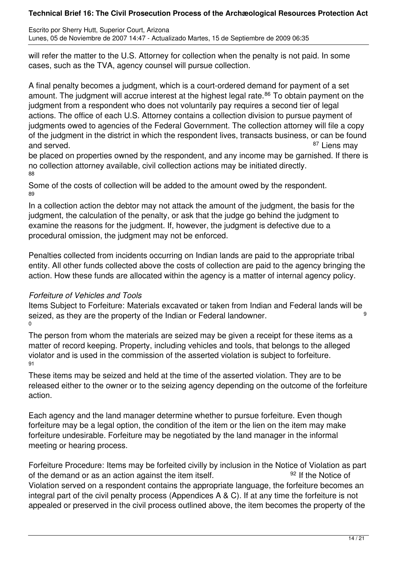Escrito por Sherry Hutt, Superior Court, Arizona Lunes, 05 de Noviembre de 2007 14:47 - Actualizado Martes, 15 de Septiembre de 2009 06:35

will refer the matter to the U.S. Attorney for collection when the penalty is not paid. In some cases, such as the TVA, agency counsel will pursue collection.

A final penalty becomes a judgment, which is a court-ordered demand for payment of a set amount. The judgment will accrue interest at the highest legal rate.<sup>86</sup> To obtain payment on the judgment from a respondent who does not voluntarily pay requires a second tier of legal actions. The office of each U.S. Attorney contains a collection division to pursue payment of judgments owed to agencies of the Federal Government. The collection attorney will file a copy of the judgment in the district in which the respondent lives, transacts business, or can be found and served. **87** Liens may

be placed on properties owned by the respondent, and any income may be garnished. If there is no collection attorney available, civil collection actions may be initiated directly. 88

Some of the costs of collection will be added to the amount owed by the respondent. 89

In a collection action the debtor may not attack the amount of the judgment, the basis for the judgment, the calculation of the penalty, or ask that the judge go behind the judgment to examine the reasons for the judgment. If, however, the judgment is defective due to a procedural omission, the judgment may not be enforced.

Penalties collected from incidents occurring on Indian lands are paid to the appropriate tribal entity. All other funds collected above the costs of collection are paid to the agency bringing the action. How these funds are allocated within the agency is a matter of internal agency policy.

# *Forfeiture of Vehicles and Tools*

Items Subject to Forfeiture: Materials excavated or taken from Indian and Federal lands will be seized, as they are the property of the Indian or Federal landowner. 0

The person from whom the materials are seized may be given a receipt for these items as a matter of record keeping. Property, including vehicles and tools, that belongs to the alleged violator and is used in the commission of the asserted violation is subject to forfeiture. 91

These items may be seized and held at the time of the asserted violation. They are to be released either to the owner or to the seizing agency depending on the outcome of the forfeiture action.

Each agency and the land manager determine whether to pursue forfeiture. Even though forfeiture may be a legal option, the condition of the item or the lien on the item may make forfeiture undesirable. Forfeiture may be negotiated by the land manager in the informal meeting or hearing process.

Forfeiture Procedure: Items may be forfeited civilly by inclusion in the Notice of Violation as part of the demand or as an action against the item itself.  $^{92}$  If the Notice of Violation served on a respondent contains the appropriate language, the forfeiture becomes an integral part of the civil penalty process (Appendices A & C). If at any time the forfeiture is not appealed or preserved in the civil process outlined above, the item becomes the property of the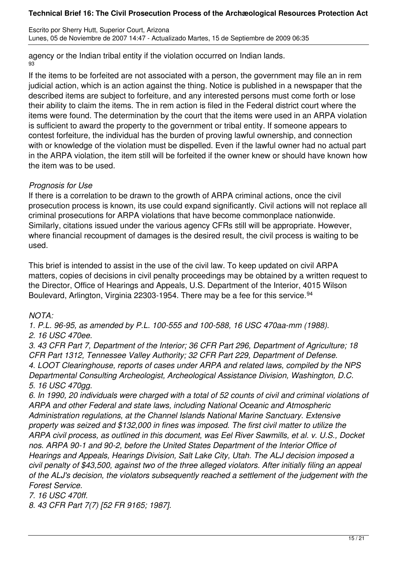Escrito por Sherry Hutt, Superior Court, Arizona Lunes, 05 de Noviembre de 2007 14:47 - Actualizado Martes, 15 de Septiembre de 2009 06:35

agency or the Indian tribal entity if the violation occurred on Indian lands. 93

If the items to be forfeited are not associated with a person, the government may file an in rem judicial action, which is an action against the thing. Notice is published in a newspaper that the described items are subject to forfeiture, and any interested persons must come forth or lose their ability to claim the items. The in rem action is filed in the Federal district court where the items were found. The determination by the court that the items were used in an ARPA violation is sufficient to award the property to the government or tribal entity. If someone appears to contest forfeiture, the individual has the burden of proving lawful ownership, and connection with or knowledge of the violation must be dispelled. Even if the lawful owner had no actual part in the ARPA violation, the item still will be forfeited if the owner knew or should have known how the item was to be used.

## *Prognosis for Use*

If there is a correlation to be drawn to the growth of ARPA criminal actions, once the civil prosecution process is known, its use could expand significantly. Civil actions will not replace all criminal prosecutions for ARPA violations that have become commonplace nationwide. Similarly, citations issued under the various agency CFRs still will be appropriate. However, where financial recoupment of damages is the desired result, the civil process is waiting to be used.

This brief is intended to assist in the use of the civil law. To keep updated on civil ARPA matters, copies of decisions in civil penalty proceedings may be obtained by a written request to the Director, Office of Hearings and Appeals, U.S. Department of the Interior, 4015 Wilson Boulevard, Arlington, Virginia 22303-1954. There may be a fee for this service.<sup>94</sup>

# *NOTA:*

*1. P.L. 96-95, as amended by P.L. 100-555 and 100-588, 16 USC 470aa-mm (1988). 2. 16 USC 470ee.*

*3. 43 CFR Part 7, Department of the Interior; 36 CFR Part 296, Department of Agriculture; 18 CFR Part 1312, Tennessee Valley Authority; 32 CFR Part 229, Department of Defense. 4. LOOT Clearinghouse, reports of cases under ARPA and related laws, compiled by the NPS Departmental Consulting Archeologist, Archeological Assistance Division, Washington, D.C. 5. 16 USC 470gg.*

*6. In 1990, 20 individuals were charged with a total of 52 counts of civil and criminal violations of ARPA and other Federal and state laws, including National Oceanic and Atmospheric Administration regulations, at the Channel Islands National Marine Sanctuary. Extensive property was seized and \$132,000 in fines was imposed. The first civil matter to utilize the ARPA civil process, as outlined in this document, was Eel River Sawmills, et al. v. U.S., Docket nos. ARPA 90-1 and 90-2, before the United States Department of the Interior Office of Hearings and Appeals, Hearings Division, Salt Lake City, Utah. The ALJ decision imposed a civil penalty of \$43,500, against two of the three alleged violators. After initially filing an appeal of the ALJ's decision, the violators subsequently reached a settlement of the judgement with the Forest Service.* 

*7. 16 USC 470ff.* 

*8. 43 CFR Part 7(7) [52 FR 9165; 1987].*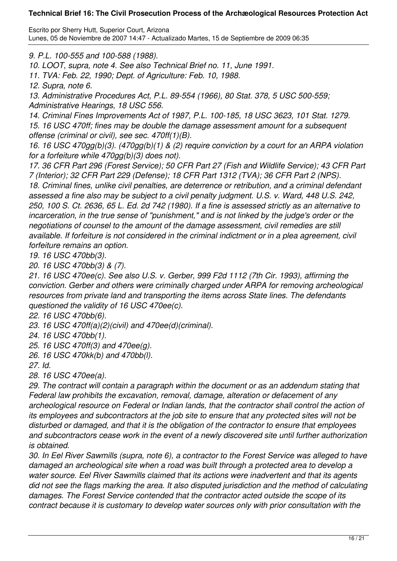Escrito por Sherry Hutt, Superior Court, Arizona Lunes, 05 de Noviembre de 2007 14:47 - Actualizado Martes, 15 de Septiembre de 2009 06:35

*9. P.L. 100-555 and 100-588 (1988).* 

*10. LOOT, supra, note 4. See also Technical Brief no. 11, June 1991.* 

*11. TVA: Feb. 22, 1990; Dept. of Agriculture: Feb. 10, 1988.* 

*12. Supra, note 6.* 

*13. Administrative Procedures Act, P.L. 89-554 (1966), 80 Stat. 378, 5 USC 500-559; Administrative Hearings, 18 USC 556.* 

*14. Criminal Fines Improvements Act of 1987, P.L. 100-185, 18 USC 3623, 101 Stat. 1279. 15. 16 USC 470ff; fines may be double the damage assessment amount for a subsequent offense (criminal or civil), see sec. 470ff(1)(B).* 

*16. 16 USC 470gg(b)(3). (470gg(b)(1) & (2) require conviction by a court for an ARPA violation for a forfeiture while 470gg(b)(3) does not).* 

*17. 36 CFR Part 296 (Forest Service); 50 CFR Part 27 (Fish and Wildlife Service); 43 CFR Part 7 (Interior); 32 CFR Part 229 (Defense); 18 CFR Part 1312 (TVA); 36 CFR Part 2 (NPS). 18. Criminal fines, unlike civil penalties, are deterrence or retribution, and a criminal defendant assessed a fine also may be subject to a civil penalty judgment. U.S. v. Ward, 448 U.S. 242, 250, 100 S. Ct. 2636, 65 L. Ed. 2d 742 (1980). If a fine is assessed strictly as an alternative to incarceration, in the true sense of "punishment," and is not linked by the judge's order or the negotiations of counsel to the amount of the damage assessment, civil remedies are still available. If forfeiture is not considered in the criminal indictment or in a plea agreement, civil forfeiture remains an option.* 

*19. 16 USC 470bb(3).* 

*20. 16 USC 470bb(3) & (7).* 

*21. 16 USC 470ee(c). See also U.S. v. Gerber, 999 F2d 1112 (7th Cir. 1993), affirming the conviction. Gerber and others were criminally charged under ARPA for removing archeological resources from private land and transporting the items across State lines. The defendants questioned the validity of 16 USC 470ee(c).* 

*22. 16 USC 470bb(6).* 

*23. 16 USC 470ff(a)(2)(civil) and 470ee(d)(criminal).* 

*24. 16 USC 470bb(1).* 

*25. 16 USC 470ff(3) and 470ee(g).* 

*26. 16 USC 470kk(b) and 470bb(l).* 

*27. Id.* 

*28. 16 USC 470ee(a).* 

*29. The contract will contain a paragraph within the document or as an addendum stating that Federal law prohibits the excavation, removal, damage, alteration or defacement of any archeological resource on Federal or Indian lands, that the contractor shall control the action of its employees and subcontractors at the job site to ensure that any protected sites will not be disturbed or damaged, and that it is the obligation of the contractor to ensure that employees and subcontractors cease work in the event of a newly discovered site until further authorization is obtained.* 

*30. In Eel River Sawmills (supra, note 6), a contractor to the Forest Service was alleged to have damaged an archeological site when a road was built through a protected area to develop a water source. Eel River Sawmills claimed that its actions were inadvertent and that its agents did not see the flags marking the area. It also disputed jurisdiction and the method of calculating damages. The Forest Service contended that the contractor acted outside the scope of its contract because it is customary to develop water sources only with prior consultation with the*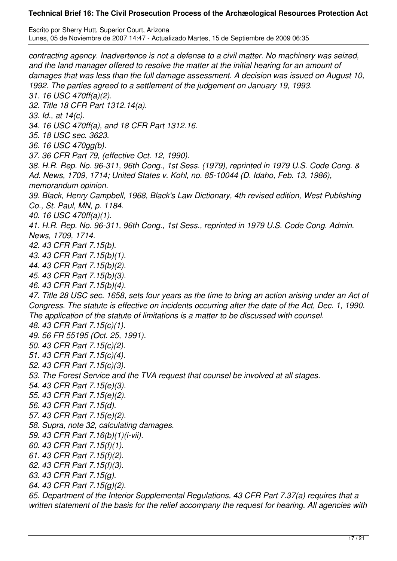Escrito por Sherry Hutt, Superior Court, Arizona Lunes, 05 de Noviembre de 2007 14:47 - Actualizado Martes, 15 de Septiembre de 2009 06:35

*contracting agency. Inadvertence is not a defense to a civil matter. No machinery was seized, and the land manager offered to resolve the matter at the initial hearing for an amount of damages that was less than the full damage assessment. A decision was issued on August 10, 1992. The parties agreed to a settlement of the judgement on January 19, 1993. 31. 16 USC 470ff(a)(2). 32. Title 18 CFR Part 1312.14(a). 33. Id., at 14(c). 34. 16 USC 470ff(a), and 18 CFR Part 1312.16. 35. 18 USC sec. 3623. 36. 16 USC 470gg(b). 37. 36 CFR Part 79, (effective Oct. 12, 1990). 38. H.R. Rep. No. 96-311, 96th Cong., 1st Sess. (1979), reprinted in 1979 U.S. Code Cong. & Ad. News, 1709, 1714; United States v. Kohl, no. 85-10044 (D. Idaho, Feb. 13, 1986), memorandum opinion. 39. Black, Henry Campbell, 1968, Black's Law Dictionary, 4th revised edition, West Publishing Co., St. Paul, MN, p. 1184. 40. 16 USC 470ff(a)(1). 41. H.R. Rep. No. 96-311, 96th Cong., 1st Sess., reprinted in 1979 U.S. Code Cong. Admin. News, 1709, 1714. 42. 43 CFR Part 7.15(b). 43. 43 CFR Part 7.15(b)(1). 44. 43 CFR Part 7.15(b)(2). 45. 43 CFR Part 7.15(b)(3). 46. 43 CFR Part 7.15(b)(4). 47. Title 28 USC sec. 1658, sets four years as the time to bring an action arising under an Act of Congress. The statute is effective on incidents occurring after the date of the Act, Dec. 1, 1990. The application of the statute of limitations is a matter to be discussed with counsel. 48. 43 CFR Part 7.15(c)(1). 49. 56 FR 55195 (Oct. 25, 1991). 50. 43 CFR Part 7.15(c)(2). 51. 43 CFR Part 7.15(c)(4). 52. 43 CFR Part 7.15(c)(3). 53. The Forest Service and the TVA request that counsel be involved at all stages. 54. 43 CFR Part 7.15(e)(3). 55. 43 CFR Part 7.15(e)(2). 56. 43 CFR Part 7.15(d). 57. 43 CFR Part 7.15(e)(2). 58. Supra, note 32, calculating damages. 59. 43 CFR Part 7.16(b)(1)(i-vii). 60. 43 CFR Part 7.15(f)(1). 61. 43 CFR Part 7.15(f)(2). 62. 43 CFR Part 7.15(f)(3). 63. 43 CFR Part 7.15(g). 64. 43 CFR Part 7.15(g)(2). 65. Department of the Interior Supplemental Regulations, 43 CFR Part 7.37(a) requires that a written statement of the basis for the relief accompany the request for hearing. All agencies with*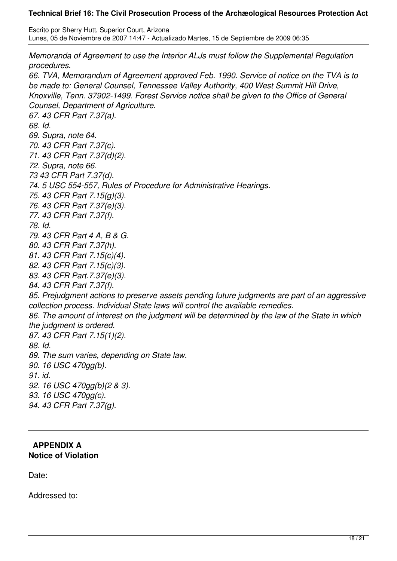Escrito por Sherry Hutt, Superior Court, Arizona Lunes, 05 de Noviembre de 2007 14:47 - Actualizado Martes, 15 de Septiembre de 2009 06:35

*Memoranda of Agreement to use the Interior ALJs must follow the Supplemental Regulation procedures. 66. TVA, Memorandum of Agreement approved Feb. 1990. Service of notice on the TVA is to be made to: General Counsel, Tennessee Valley Authority, 400 West Summit Hill Drive, Knoxville, Tenn. 37902-1499. Forest Service notice shall be given to the Office of General Counsel, Department of Agriculture. 67. 43 CFR Part 7.37(a). 68. Id. 69. Supra, note 64. 70. 43 CFR Part 7.37(c). 71. 43 CFR Part 7.37(d)(2). 72. Supra, note 66. 73 43 CFR Part 7.37(d). 74. 5 USC 554-557, Rules of Procedure for Administrative Hearings. 75. 43 CFR Part 7.15(g)(3). 76. 43 CFR Part 7.37(e)(3). 77. 43 CFR Part 7.37(f). 78. Id. 79. 43 CFR Part 4 A, B & G. 80. 43 CFR Part 7.37(h). 81. 43 CFR Part 7.15(c)(4). 82. 43 CFR Part 7.15(c)(3). 83. 43 CFR Part.7.37(e)(3). 84. 43 CFR Part 7.37(f). 85. Prejudgment actions to preserve assets pending future judgments are part of an aggressive collection process. Individual State laws will control the available remedies. 86. The amount of interest on the judgment will be determined by the law of the State in which the judgment is ordered. 87. 43 CFR Part 7.15(1)(2). 88. Id. 89. The sum varies, depending on State law. 90. 16 USC 470gg(b). 91. id. 92. 16 USC 470gg(b)(2 & 3). 93. 16 USC 470gg(c). 94. 43 CFR Part 7.37(g).*

### **APPENDIX A Notice of Violation**

Date:

Addressed to: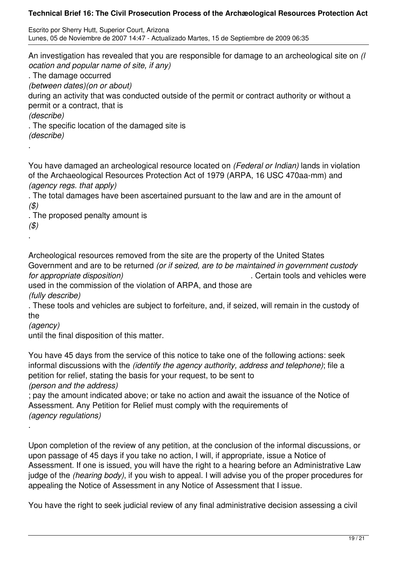Escrito por Sherry Hutt, Superior Court, Arizona Lunes, 05 de Noviembre de 2007 14:47 - Actualizado Martes, 15 de Septiembre de 2009 06:35

An investigation has revealed that you are responsible for damage to an archeological site on *(l ocation and popular name of site, if any)* . The damage occurred *(between dates)(on or about)* during an activity that was conducted outside of the permit or contract authority or without a permit or a contract, that is *(describe)* . The specific location of the damaged site is *(describe)* .

You have damaged an archeological resource located on *(Federal or Indian)* lands in violation of the Archaeological Resources Protection Act of 1979 (ARPA, 16 USC 470aa-mm) and *(agency regs. that apply)*

. The total damages have been ascertained pursuant to the law and are in the amount of *(\$)*

. The proposed penalty amount is

*(\$)* .

Archeological resources removed from the site are the property of the United States Government and are to be returned *(or if seized, are to be maintained in government custody for appropriate disposition)* . Certain tools and vehicles were

used in the commission of the violation of ARPA, and those are *(fully describe)*

. These tools and vehicles are subject to forfeiture, and, if seized, will remain in the custody of the

*(agency)*

.

until the final disposition of this matter.

You have 45 days from the service of this notice to take one of the following actions: seek informal discussions with the *(identify the agency authority, address and telephone)*; file a petition for relief, stating the basis for your request, to be sent to *(person and the address)*

; pay the amount indicated above; or take no action and await the issuance of the Notice of Assessment. Any Petition for Relief must comply with the requirements of *(agency regulations)*

Upon completion of the review of any petition, at the conclusion of the informal discussions, or upon passage of 45 days if you take no action, I will, if appropriate, issue a Notice of Assessment. If one is issued, you will have the right to a hearing before an Administrative Law judge of the *(hearing body)*, if you wish to appeal. I will advise you of the proper procedures for appealing the Notice of Assessment in any Notice of Assessment that I issue.

You have the right to seek judicial review of any final administrative decision assessing a civil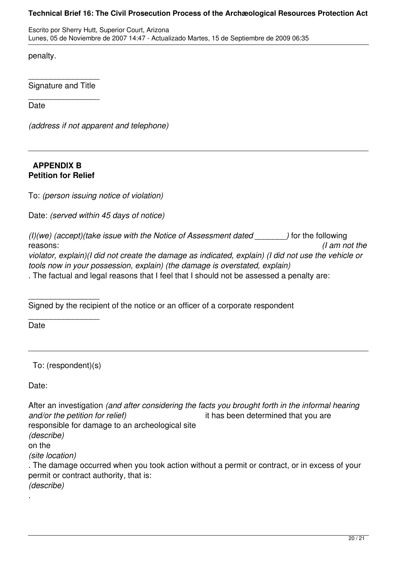Escrito por Sherry Hutt, Superior Court, Arizona Lunes, 05 de Noviembre de 2007 14:47 - Actualizado Martes, 15 de Septiembre de 2009 06:35

penalty.

\_\_\_\_\_\_\_\_\_\_\_\_\_\_\_\_ Signature and Title \_\_\_\_\_\_\_\_\_\_\_\_\_\_\_\_

Date

*(address if not apparent and telephone)*

### **APPENDIX B Petition for Relief**

To: *(person issuing notice of violation)* 

Date: *(served within 45 days of notice)* 

| (I)(we) (accept)(take issue with the Notice of Assessment dated                                     | ) for the following |
|-----------------------------------------------------------------------------------------------------|---------------------|
| reasons:                                                                                            | $\theta$ am not the |
| violator, explain)(I did not create the damage as indicated, explain) (I did not use the vehicle or |                     |
| tools now in your possession, explain) (the damage is overstated, explain)                          |                     |
| . The factual and legal reasons that I feel that I should not be assessed a penalty are:            |                     |

\_\_\_\_\_\_\_\_\_\_\_\_\_\_\_\_ Signed by the recipient of the notice or an officer of a corporate respondent

\_\_\_\_\_\_\_\_\_\_\_\_\_\_\_\_ **Date** 

To: (respondent)(s)

Date:

After an investigation *(and after considering the facts you brought forth in the informal hearing and/or the petition for relief)* it has been determined that you are responsible for damage to an archeological site *(describe)* on the *(site location)* . The damage occurred when you took action without a permit or contract, or in excess of your permit or contract authority, that is: *(describe)* .